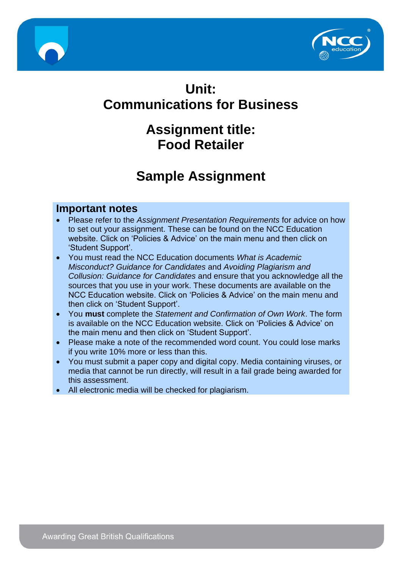



# **Unit: Communications for Business**

# **Assignment title: Food Retailer**

# **Sample Assignment**

#### **Important notes**

- Please refer to the *Assignment Presentation Requirements* for advice on how to set out your assignment. These can be found on the NCC Education website. Click on 'Policies & Advice' on the main menu and then click on 'Student Support'.
- You must read the NCC Education documents *What is Academic Misconduct? Guidance for Candidates* and *Avoiding Plagiarism and Collusion: Guidance for Candidates* and ensure that you acknowledge all the sources that you use in your work. These documents are available on the NCC Education website. Click on 'Policies & Advice' on the main menu and then click on 'Student Support'.
- You **must** complete the *Statement and Confirmation of Own Work*. The form is available on the NCC Education website. Click on 'Policies & Advice' on the main menu and then click on 'Student Support'.
- Please make a note of the recommended word count. You could lose marks if you write 10% more or less than this.
- You must submit a paper copy and digital copy. Media containing viruses, or media that cannot be run directly, will result in a fail grade being awarded for this assessment.
- All electronic media will be checked for plagiarism.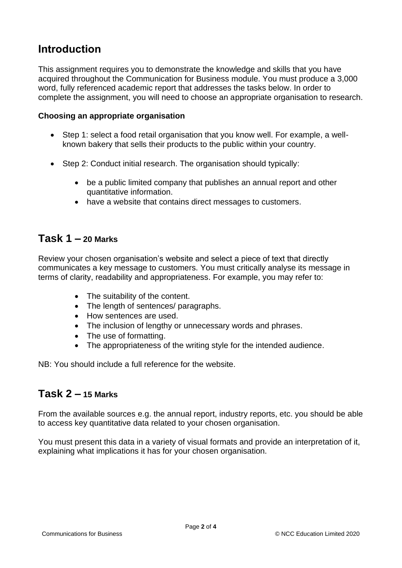## **Introduction**

This assignment requires you to demonstrate the knowledge and skills that you have acquired throughout the Communication for Business module. You must produce a 3,000 word, fully referenced academic report that addresses the tasks below. In order to complete the assignment, you will need to choose an appropriate organisation to research.

#### **Choosing an appropriate organisation**

- Step 1: select a food retail organisation that you know well. For example, a wellknown bakery that sells their products to the public within your country.
- Step 2: Conduct initial research. The organisation should typically:
	- be a public limited company that publishes an annual report and other quantitative information.
	- have a website that contains direct messages to customers.

#### **Task 1 – 20 Marks**

Review your chosen organisation's website and select a piece of text that directly communicates a key message to customers. You must critically analyse its message in terms of clarity, readability and appropriateness. For example, you may refer to:

- The suitability of the content.
- The length of sentences/ paragraphs.
- How sentences are used.
- The inclusion of lengthy or unnecessary words and phrases.
- The use of formatting.
- The appropriateness of the writing style for the intended audience.

NB: You should include a full reference for the website.

#### **Task 2 – 15 Marks**

From the available sources e.g. the annual report, industry reports, etc. you should be able to access key quantitative data related to your chosen organisation.

You must present this data in a variety of visual formats and provide an interpretation of it, explaining what implications it has for your chosen organisation.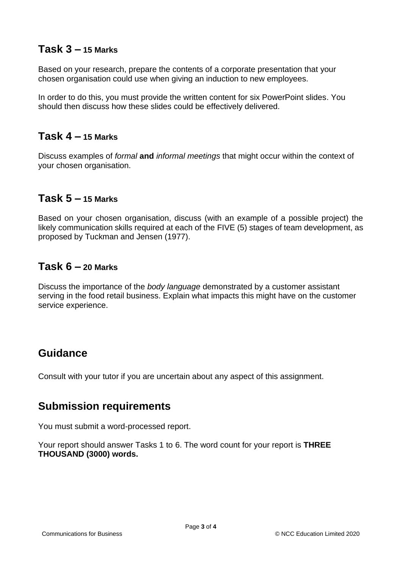#### **Task 3 – 15 Marks**

Based on your research, prepare the contents of a corporate presentation that your chosen organisation could use when giving an induction to new employees.

In order to do this, you must provide the written content for six PowerPoint slides. You should then discuss how these slides could be effectively delivered.

#### **Task 4 – 15 Marks**

Discuss examples of *formal* **and** *informal meetings* that might occur within the context of your chosen organisation.

#### **Task 5 – 15 Marks**

Based on your chosen organisation, discuss (with an example of a possible project) the likely communication skills required at each of the FIVE (5) stages of team development, as proposed by Tuckman and Jensen (1977).

#### **Task 6 – 20 Marks**

Discuss the importance of the *body language* demonstrated by a customer assistant serving in the food retail business. Explain what impacts this might have on the customer service experience.

### **Guidance**

Consult with your tutor if you are uncertain about any aspect of this assignment.

### **Submission requirements**

You must submit a word-processed report.

Your report should answer Tasks 1 to 6. The word count for your report is **THREE THOUSAND (3000) words.**